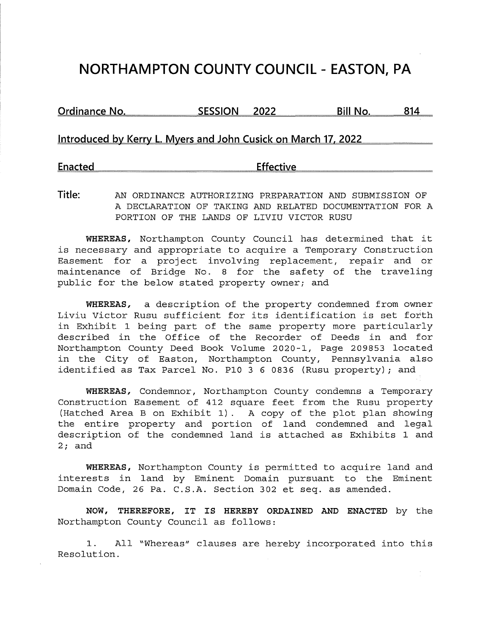# **NORTHAMPTON COUNTY COUNCIL - EASTON, PA**

**Ordinance No.** SESSION 2022 Bill No. 814

**Introduced by Kerry L. Myers and John Cusick on March 17. 2022** 

**Enacted Effective** 

**Title:** AN ORDINANCE AUTHORIZING PREPARATION AND SUBMISSION OF A DECLARATION OF TAKING AND RELATED DOCUMENTATION FOR A PORTION OF THE LANDS OF LIVIU VICTOR RUSU

**WHEREAS,** Northampton County Council has determined that it is necessary and appropriate to acquire a Temporary Construction Easement for a project involving replacement, repair and or maintenance of Bridge No. 8 for the safety of the traveling public for the below stated property owner; and

**WHEREAS,** a description of the property condemned from owner Liviu Victor Rusu sufficient for its identification is set forth in Exhibit 1 being part of the same property more particularly described in the Office of the Recorder of Deeds in and for Northampton County Deed Book Volume 2020-1, Page 209853 located in the City of Easton, Northampton County, Pennsylvania also identified as Tax Parcel No. Pl0 3 6 0836 (Rusu property); and

**WHEREAS,** Condemnor, Northampton County condemns a Temporary Construction Easement of 412 square feet from the Rusu property (Hatched Area Bon Exhibit 1). A copy of the plot plan showing the entire property and portion of land condemned and legal description of the condemned land is attached as Exhibits 1 and 2; and

**WHEREAS,** Northampton County is permitted to acquire land and interests in land by Eminent Domain pursuant to the Eminent Domain Code, 26 Pa. C.S.A. Section 302 et seq. as amended.

**NOW, THEREFORE, IT IS HEREBY ORDAINED AND ENACTED** by the Northampton County Council as follows:

1. All "Whereas" clauses are hereby incorporated into this Resolution.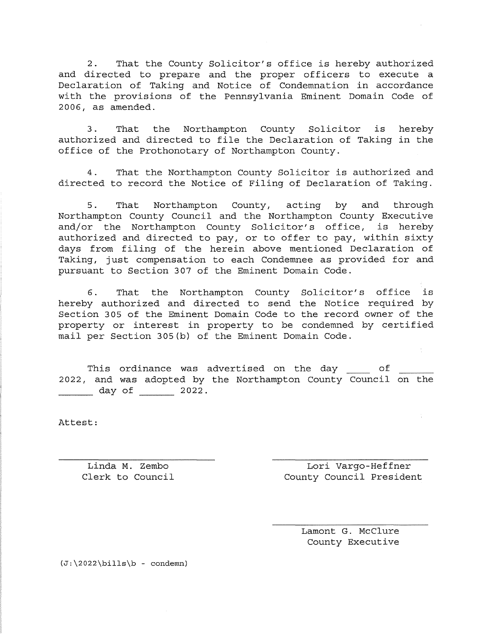2. That the County Solicitor's office is hereby authorized and directed to prepare and the proper officers to execute a Declaration of Taking and Notice of Condemnation in accordance with the provisions of the Pennsylvania Eminent Domain Code of 2006, as amended.

3. That the Northampton County Solicitor is hereby authorized and directed to file the Declaration of Taking in the office of the Prothonotary of Northampton County.

4. That the Northampton County Solicitor is authorized and directed to record the Notice of Filing of Declaration of Taking.

5. That Northampton County, acting by and through Northampton County Council and the Northampton County Executive and/or the Northampton County Solicitor's office, is hereby authorized and directed to pay, or to offer to pay, within sixty days from filing of the herein above mentioned Declaration of Taking, just compensation to each Condemnee as provided for and pursuant to Section 307 of the Eminent Domain Code.

6. That the Northampton County Solicitor's office is hereby authorized and directed to send the Notice required by Section 305 of the Eminent Domain Code to the record owner of the property or interest in property to be condemned by certified mail per Section 305(b) of the Eminent Domain Code.

This ordinance was advertised on the day of 2022, and was adopted by the Northampton County Council on the  $\frac{day \text{ of } 2022.}$ 

Attest:

Linda M. Zembo and Lori Vargo-Heffner Clerk to Council County Council President

> Lamont G. McClure County Executive

 $(J:\2022\bib - \ncondemn)$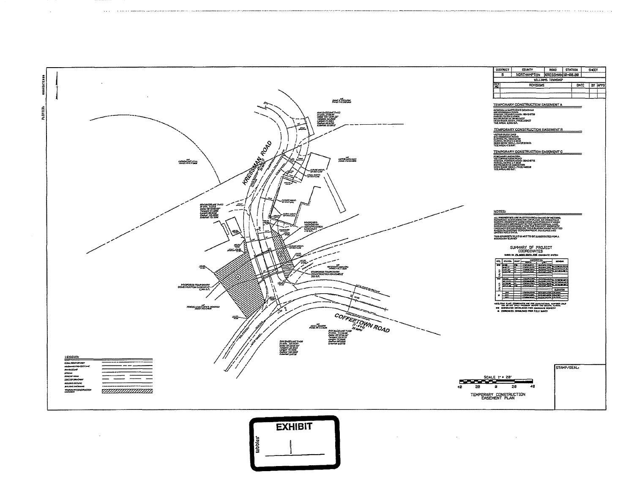

 $\sim$ 

 $\sim$ 

.<br>1982 - Paul III, mark de la manuverna de question de communistance en communistance de concertaire de manuver



 $\sim 100$  $\sim 30$ 

 $\Delta\phi$  and  $\phi$